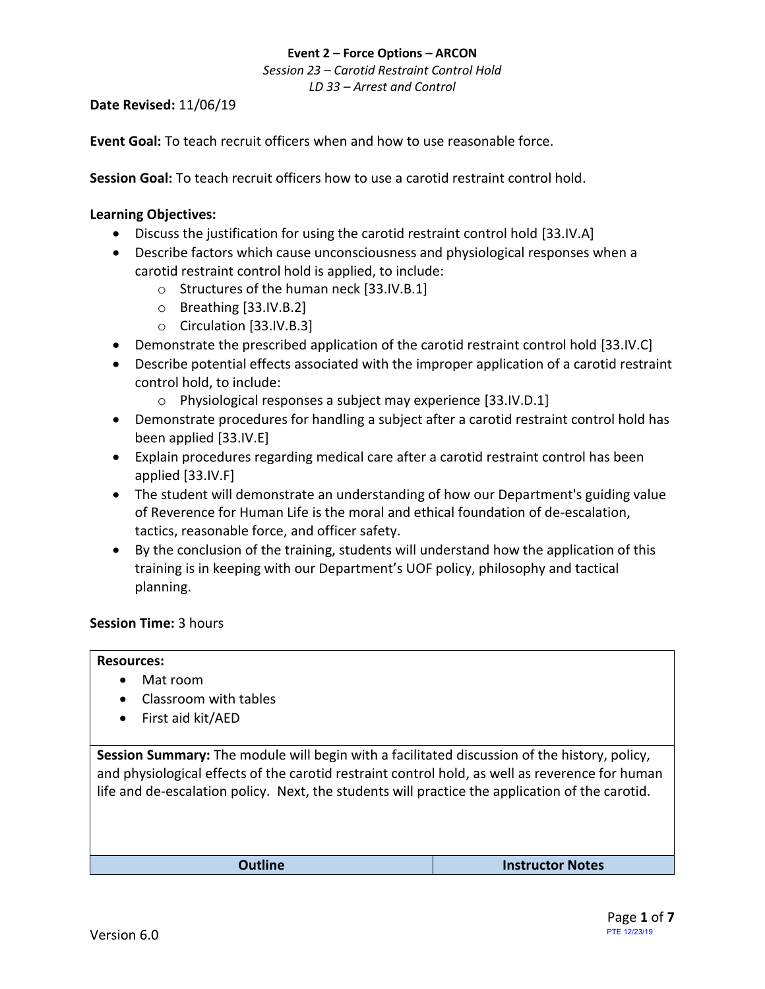# **Event 2 – Force Options – ARCON** *Session 23 – Carotid Restraint Control Hold*

*LD 33 – Arrest and Control*

**Date Revised:** 11/06/19

**Event Goal:** To teach recruit officers when and how to use reasonable force.

**Session Goal:** To teach recruit officers how to use a carotid restraint control hold.

#### <span id="page-0-0"></span>**Learning Objectives:**

- Discuss the justification for using the carotid restraint control hold [33.IV.A]
- Describe factors which cause unconsciousness and physiological responses when a carotid restraint control hold is applied, to include:
	- o [Structures of the human neck](#page-2-0) [33.IV.B.1]
	- o Breathing [\[33.IV.B.2\]](#page-3-0)
	- o [Circulation](#page-3-1) [33.IV.B.3]
- [Demonstrate the prescribed application of the carotid restraint control hold](#page-5-0) [33.IV.C]
- Describe potential effects associated with the improper application of a carotid restraint control hold, to include:
	- o [Physiological responses a subject may experience](#page-4-0) [33.IV.D.1]
- [Demonstrate procedures for handling a subject after a carotid restraint control hold has](#page-4-1)  [been applied](#page-4-1) [33.IV.E]
- [Explain procedures regarding medical care after a carotid restraint control has been](#page-4-1)  applied [\[33.IV.F\]](#page-4-1)
- The student will demonstrate an understanding of how our Department's guiding value of Reverence for Human Life is the moral and ethical foundation of de-escalation, tactics, reasonable force, and officer safety.
- By the conclusion of the training, students will understand how the application of this training is in keeping with our Department's UOF policy, philosophy and tactical planning.

#### **Session Time:** 3 hours

#### **Resources:**

- Mat room
- Classroom with tables
- First aid kit/AED

**Session Summary:** The module will begin with a facilitated discussion of the history, policy, and physiological effects of the carotid restraint control hold, as well as reverence for human life and de-escalation policy. Next, the students will practice the application of the carotid.

**Outline Instructor Notes**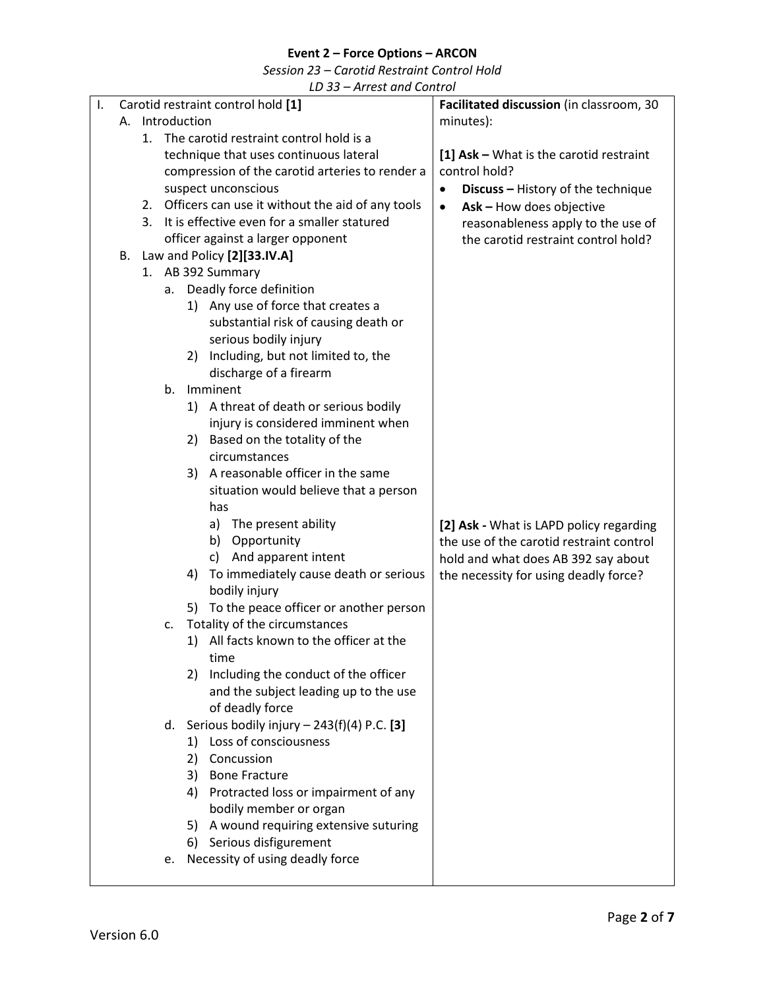*Session 23 – Carotid Restraint Control Hold*

| Ι. |    |    | Carotid restraint control hold [1]                  | Facilitated discussion (in classroom, 30  |  |  |
|----|----|----|-----------------------------------------------------|-------------------------------------------|--|--|
|    |    |    | A. Introduction                                     | minutes):                                 |  |  |
|    |    | 1. | The carotid restraint control hold is a             |                                           |  |  |
|    |    |    | technique that uses continuous lateral              | [1] $Ask - What$ is the carotid restraint |  |  |
|    |    |    | compression of the carotid arteries to render a     | control hold?                             |  |  |
|    |    |    | suspect unconscious                                 | Discuss - History of the technique        |  |  |
|    |    |    | 2. Officers can use it without the aid of any tools | Ask - How does objective<br>$\bullet$     |  |  |
|    |    | 3. | It is effective even for a smaller statured         | reasonableness apply to the use of        |  |  |
|    |    |    | officer against a larger opponent                   | the carotid restraint control hold?       |  |  |
|    | В. |    | Law and Policy [2][33.IV.A]                         |                                           |  |  |
|    |    |    | 1. AB 392 Summary                                   |                                           |  |  |
|    |    | а. | Deadly force definition                             |                                           |  |  |
|    |    |    | 1) Any use of force that creates a                  |                                           |  |  |
|    |    |    | substantial risk of causing death or                |                                           |  |  |
|    |    |    | serious bodily injury                               |                                           |  |  |
|    |    |    | Including, but not limited to, the<br>2)            |                                           |  |  |
|    |    |    | discharge of a firearm                              |                                           |  |  |
|    |    | b. | Imminent                                            |                                           |  |  |
|    |    |    | 1) A threat of death or serious bodily              |                                           |  |  |
|    |    |    | injury is considered imminent when                  |                                           |  |  |
|    |    |    | 2) Based on the totality of the                     |                                           |  |  |
|    |    |    | circumstances                                       |                                           |  |  |
|    |    |    | A reasonable officer in the same<br>3)              |                                           |  |  |
|    |    |    | situation would believe that a person               |                                           |  |  |
|    |    |    | has                                                 |                                           |  |  |
|    |    |    | a) The present ability<br>b) Opportunity            | [2] Ask - What is LAPD policy regarding   |  |  |
|    |    |    | And apparent intent<br>c)                           | the use of the carotid restraint control  |  |  |
|    |    |    | To immediately cause death or serious<br>4)         | hold and what does AB 392 say about       |  |  |
|    |    |    | bodily injury                                       | the necessity for using deadly force?     |  |  |
|    |    |    | 5) To the peace officer or another person           |                                           |  |  |
|    |    | c. | Totality of the circumstances                       |                                           |  |  |
|    |    |    | 1) All facts known to the officer at the            |                                           |  |  |
|    |    |    | time                                                |                                           |  |  |
|    |    |    | Including the conduct of the officer<br>2)          |                                           |  |  |
|    |    |    | and the subject leading up to the use               |                                           |  |  |
|    |    |    | of deadly force                                     |                                           |  |  |
|    |    |    | d. Serious bodily injury $- 243(f)(4)$ P.C. [3]     |                                           |  |  |
|    |    |    | 1) Loss of consciousness                            |                                           |  |  |
|    |    |    | Concussion<br>2)                                    |                                           |  |  |
|    |    |    | <b>Bone Fracture</b><br>3)                          |                                           |  |  |
|    |    |    | Protracted loss or impairment of any<br>4)          |                                           |  |  |
|    |    |    | bodily member or organ                              |                                           |  |  |
|    |    |    | A wound requiring extensive suturing<br>5)          |                                           |  |  |
|    |    |    | 6) Serious disfigurement                            |                                           |  |  |
|    |    | e. | Necessity of using deadly force                     |                                           |  |  |
|    |    |    |                                                     |                                           |  |  |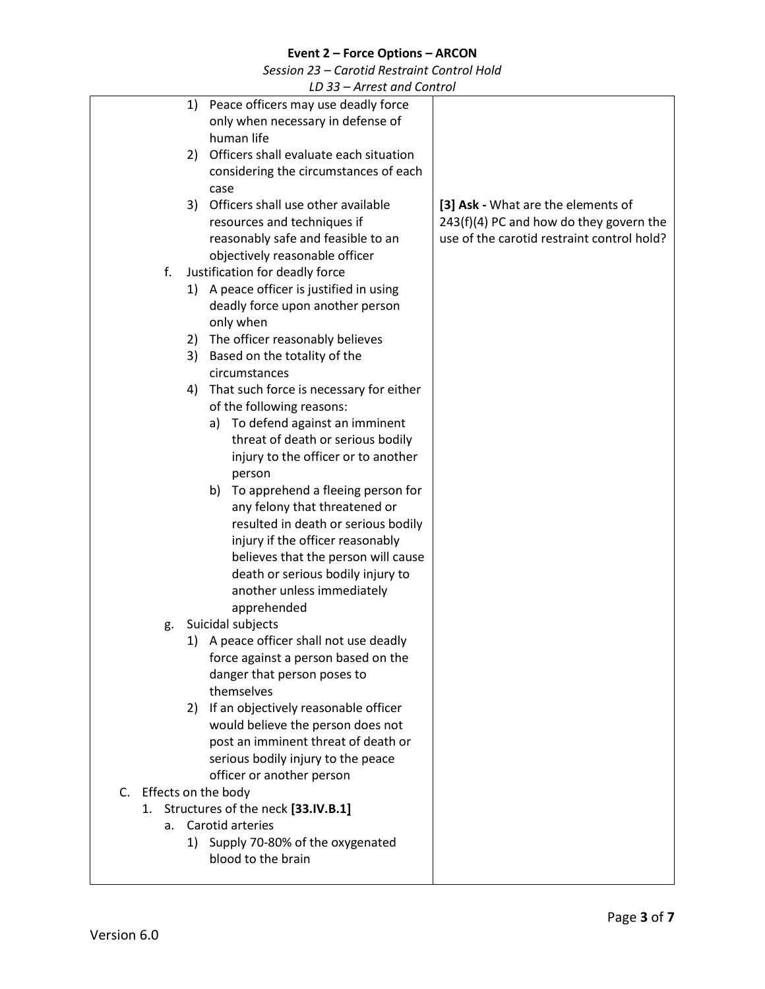*Session 23 – Carotid Restraint Control Hold*

<span id="page-2-0"></span>

|                        | $10,33$ – An calculus Control              |                                            |
|------------------------|--------------------------------------------|--------------------------------------------|
|                        | 1) Peace officers may use deadly force     |                                            |
|                        | only when necessary in defense of          |                                            |
|                        | human life                                 |                                            |
|                        | 2) Officers shall evaluate each situation  |                                            |
|                        | considering the circumstances of each      |                                            |
|                        | case                                       |                                            |
| 3)                     | Officers shall use other available         | [3] Ask - What are the elements of         |
|                        | resources and techniques if                | 243(f)(4) PC and how do they govern the    |
|                        | reasonably safe and feasible to an         | use of the carotid restraint control hold? |
|                        | objectively reasonable officer             |                                            |
| f.                     | Justification for deadly force             |                                            |
|                        | 1) A peace officer is justified in using   |                                            |
|                        | deadly force upon another person           |                                            |
|                        | only when                                  |                                            |
| 2)                     | The officer reasonably believes            |                                            |
|                        | 3) Based on the totality of the            |                                            |
|                        | circumstances                              |                                            |
|                        | 4) That such force is necessary for either |                                            |
|                        | of the following reasons:                  |                                            |
|                        | To defend against an imminent<br>a)        |                                            |
|                        | threat of death or serious bodily          |                                            |
|                        | injury to the officer or to another        |                                            |
|                        | person                                     |                                            |
|                        | To apprehend a fleeing person for<br>b)    |                                            |
|                        | any felony that threatened or              |                                            |
|                        | resulted in death or serious bodily        |                                            |
|                        | injury if the officer reasonably           |                                            |
|                        | believes that the person will cause        |                                            |
|                        | death or serious bodily injury to          |                                            |
|                        | another unless immediately                 |                                            |
|                        | apprehended                                |                                            |
| g.                     | Suicidal subjects                          |                                            |
|                        | 1) A peace officer shall not use deadly    |                                            |
|                        | force against a person based on the        |                                            |
|                        | danger that person poses to                |                                            |
|                        | themselves                                 |                                            |
|                        | 2) If an objectively reasonable officer    |                                            |
|                        | would believe the person does not          |                                            |
|                        | post an imminent threat of death or        |                                            |
|                        | serious bodily injury to the peace         |                                            |
|                        | officer or another person                  |                                            |
| C. Effects on the body |                                            |                                            |
|                        | 1. Structures of the neck [33.IV.B.1]      |                                            |
| a.                     | Carotid arteries                           |                                            |
| 1)                     | Supply 70-80% of the oxygenated            |                                            |
|                        | blood to the brain                         |                                            |
|                        |                                            |                                            |
|                        |                                            |                                            |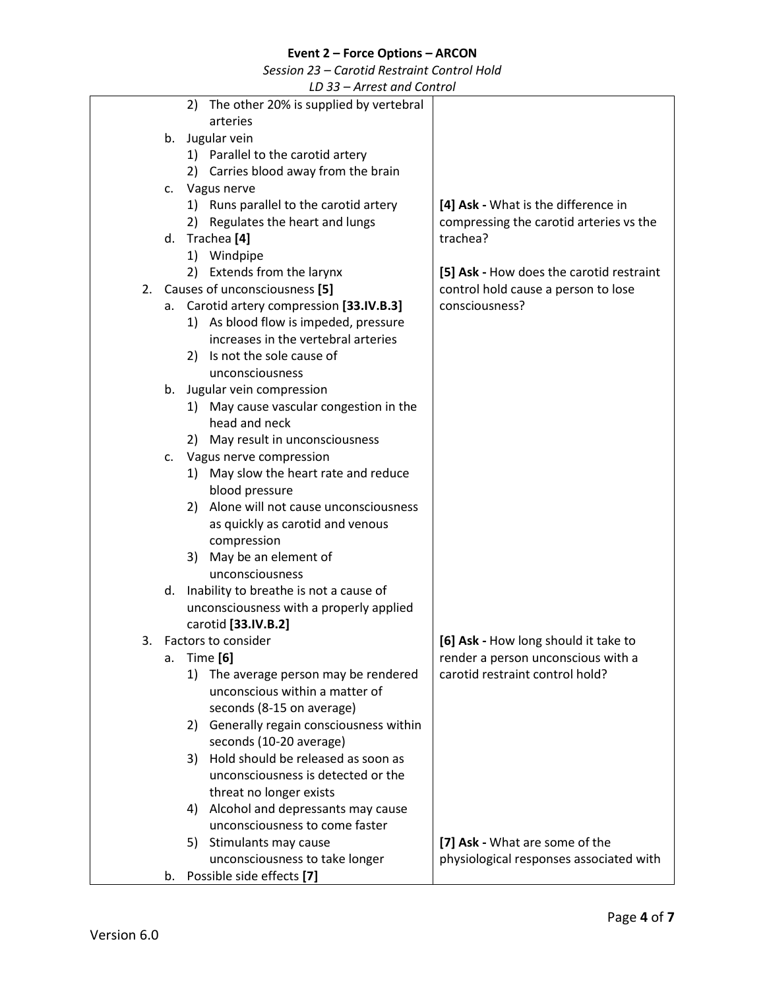*Session 23 – Carotid Restraint Control Hold*

<span id="page-3-1"></span><span id="page-3-0"></span>

|    |    | LD 33 – Arrest and Control                |                                          |
|----|----|-------------------------------------------|------------------------------------------|
|    |    | 2) The other 20% is supplied by vertebral |                                          |
|    |    | arteries                                  |                                          |
|    |    | b. Jugular vein                           |                                          |
|    |    | 1) Parallel to the carotid artery         |                                          |
|    |    | 2) Carries blood away from the brain      |                                          |
|    |    | c. Vagus nerve                            |                                          |
|    |    | 1) Runs parallel to the carotid artery    | [4] Ask - What is the difference in      |
|    |    |                                           |                                          |
|    |    | 2) Regulates the heart and lungs          | compressing the carotid arteries vs the  |
|    |    | d. Trachea <sup>[4]</sup>                 | trachea?                                 |
|    |    | 1) Windpipe                               |                                          |
|    |    | 2) Extends from the larynx                | [5] Ask - How does the carotid restraint |
|    |    | 2. Causes of unconsciousness [5]          | control hold cause a person to lose      |
| а. |    | Carotid artery compression [33.IV.B.3]    | consciousness?                           |
|    |    | 1) As blood flow is impeded, pressure     |                                          |
|    |    | increases in the vertebral arteries       |                                          |
|    |    | 2) Is not the sole cause of               |                                          |
|    |    | unconsciousness                           |                                          |
| b. |    | Jugular vein compression                  |                                          |
|    |    | 1) May cause vascular congestion in the   |                                          |
|    |    | head and neck                             |                                          |
|    |    | 2) May result in unconsciousness          |                                          |
| C. |    | Vagus nerve compression                   |                                          |
|    |    | 1) May slow the heart rate and reduce     |                                          |
|    |    | blood pressure                            |                                          |
|    |    | 2) Alone will not cause unconsciousness   |                                          |
|    |    |                                           |                                          |
|    |    | as quickly as carotid and venous          |                                          |
|    |    | compression                               |                                          |
|    |    | 3) May be an element of                   |                                          |
|    |    | unconsciousness                           |                                          |
| d. |    | Inability to breathe is not a cause of    |                                          |
|    |    | unconsciousness with a properly applied   |                                          |
|    |    | carotid [33.IV.B.2]                       |                                          |
| 3. |    | Factors to consider                       | [6] Ask - How long should it take to     |
| a. |    | Time [6]                                  | render a person unconscious with a       |
|    | 1) | The average person may be rendered        | carotid restraint control hold?          |
|    |    | unconscious within a matter of            |                                          |
|    |    | seconds (8-15 on average)                 |                                          |
|    | 2) | Generally regain consciousness within     |                                          |
|    |    | seconds (10-20 average)                   |                                          |
|    | 3) | Hold should be released as soon as        |                                          |
|    |    | unconsciousness is detected or the        |                                          |
|    |    | threat no longer exists                   |                                          |
|    | 4) | Alcohol and depressants may cause         |                                          |
|    |    | unconsciousness to come faster            |                                          |
|    | 5) | Stimulants may cause                      | [7] Ask - What are some of the           |
|    |    | unconsciousness to take longer            | physiological responses associated with  |
| b. |    | Possible side effects [7]                 |                                          |
|    |    |                                           |                                          |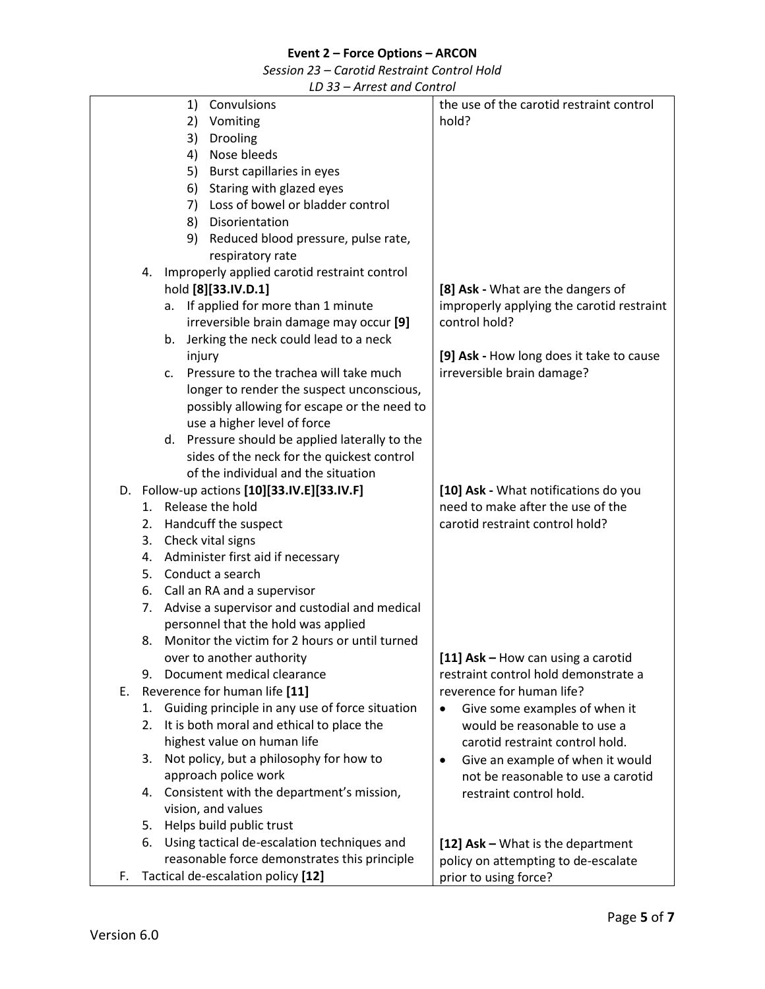*Session 23 – Carotid Restraint Control Hold*

<span id="page-4-1"></span><span id="page-4-0"></span>

|    | THE QUID CONTROL                                      |                                               |
|----|-------------------------------------------------------|-----------------------------------------------|
|    | 1)<br>Convulsions                                     | the use of the carotid restraint control      |
|    | 2)<br>Vomiting                                        | hold?                                         |
|    | 3)<br>Drooling                                        |                                               |
|    | 4)<br>Nose bleeds                                     |                                               |
|    | Burst capillaries in eyes<br>5)                       |                                               |
|    |                                                       |                                               |
|    | Staring with glazed eyes<br>6)                        |                                               |
|    | Loss of bowel or bladder control<br>7)                |                                               |
|    | 8)<br>Disorientation                                  |                                               |
|    | Reduced blood pressure, pulse rate,<br>9)             |                                               |
|    | respiratory rate                                      |                                               |
|    | Improperly applied carotid restraint control<br>4.    |                                               |
|    | hold [8][33.IV.D.1]                                   | [8] Ask - What are the dangers of             |
|    | a. If applied for more than 1 minute                  | improperly applying the carotid restraint     |
|    | irreversible brain damage may occur [9]               | control hold?                                 |
|    | b. Jerking the neck could lead to a neck              |                                               |
|    | injury                                                | [9] Ask - How long does it take to cause      |
|    | Pressure to the trachea will take much<br>C.          | irreversible brain damage?                    |
|    | longer to render the suspect unconscious,             |                                               |
|    |                                                       |                                               |
|    | possibly allowing for escape or the need to           |                                               |
|    | use a higher level of force                           |                                               |
|    | d. Pressure should be applied laterally to the        |                                               |
|    | sides of the neck for the quickest control            |                                               |
|    | of the individual and the situation                   |                                               |
|    | D. Follow-up actions [10][33.IV.E][33.IV.F]           | [10] Ask - What notifications do you          |
|    | 1. Release the hold                                   | need to make after the use of the             |
|    | 2. Handcuff the suspect                               | carotid restraint control hold?               |
|    | Check vital signs<br>3.                               |                                               |
|    | Administer first aid if necessary<br>4.               |                                               |
|    | 5. Conduct a search                                   |                                               |
|    | 6. Call an RA and a supervisor                        |                                               |
|    | Advise a supervisor and custodial and medical<br>7.   |                                               |
|    | personnel that the hold was applied                   |                                               |
|    | Monitor the victim for 2 hours or until turned<br>8.  |                                               |
|    |                                                       |                                               |
|    | over to another authority                             | [11] Ask - How can using a carotid            |
|    | Document medical clearance<br>9.                      | restraint control hold demonstrate a          |
| Е. | Reverence for human life [11]                         | reverence for human life?                     |
|    | Guiding principle in any use of force situation<br>1. | Give some examples of when it<br>$\bullet$    |
|    | It is both moral and ethical to place the<br>2.       | would be reasonable to use a                  |
|    | highest value on human life                           | carotid restraint control hold.               |
|    | Not policy, but a philosophy for how to<br>3.         | Give an example of when it would<br>$\bullet$ |
|    | approach police work                                  | not be reasonable to use a carotid            |
|    | Consistent with the department's mission,<br>4.       | restraint control hold.                       |
|    | vision, and values                                    |                                               |
|    | Helps build public trust<br>5.                        |                                               |
|    | Using tactical de-escalation techniques and<br>6.     | [12] Ask - What is the department             |
|    | reasonable force demonstrates this principle          |                                               |
|    |                                                       | policy on attempting to de-escalate           |
| F. | Tactical de-escalation policy [12]                    | prior to using force?                         |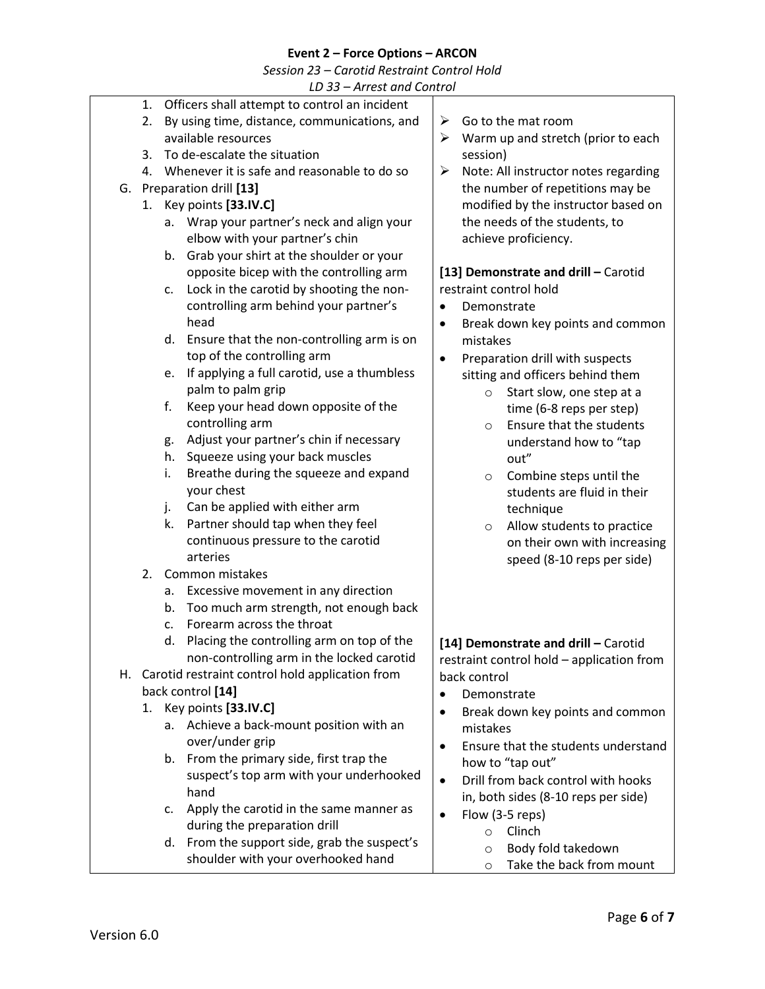*Session 23 – Carotid Restraint Control Hold*

<span id="page-5-0"></span>

| LD 33 - Arrest and Control |    |                                                    |                                                  |  |  |  |  |
|----------------------------|----|----------------------------------------------------|--------------------------------------------------|--|--|--|--|
|                            | 1. | Officers shall attempt to control an incident      |                                                  |  |  |  |  |
|                            | 2. | By using time, distance, communications, and       | Go to the mat room<br>➤                          |  |  |  |  |
|                            |    | available resources                                | Warm up and stretch (prior to each<br>➤          |  |  |  |  |
|                            | 3. | To de-escalate the situation                       | session)                                         |  |  |  |  |
|                            |    | 4. Whenever it is safe and reasonable to do so     | Note: All instructor notes regarding<br>➤        |  |  |  |  |
|                            |    | G. Preparation drill [13]                          | the number of repetitions may be                 |  |  |  |  |
|                            |    | 1. Key points [33.IV.C]                            | modified by the instructor based on              |  |  |  |  |
|                            | а. | Wrap your partner's neck and align your            | the needs of the students, to                    |  |  |  |  |
|                            |    | elbow with your partner's chin                     | achieve proficiency.                             |  |  |  |  |
|                            | b. | Grab your shirt at the shoulder or your            |                                                  |  |  |  |  |
|                            |    | opposite bicep with the controlling arm            | [13] Demonstrate and drill - Carotid             |  |  |  |  |
|                            | c. | Lock in the carotid by shooting the non-           | restraint control hold                           |  |  |  |  |
|                            |    | controlling arm behind your partner's              | Demonstrate                                      |  |  |  |  |
|                            |    | head                                               | Break down key points and common<br>$\bullet$    |  |  |  |  |
|                            | d. | Ensure that the non-controlling arm is on          | mistakes                                         |  |  |  |  |
|                            |    | top of the controlling arm                         | Preparation drill with suspects<br>$\bullet$     |  |  |  |  |
|                            | e. | If applying a full carotid, use a thumbless        | sitting and officers behind them                 |  |  |  |  |
|                            |    | palm to palm grip                                  | Start slow, one step at a<br>$\circ$             |  |  |  |  |
|                            | f. | Keep your head down opposite of the                | time (6-8 reps per step)                         |  |  |  |  |
|                            |    | controlling arm                                    | Ensure that the students<br>$\circ$              |  |  |  |  |
|                            | g. | Adjust your partner's chin if necessary            | understand how to "tap                           |  |  |  |  |
|                            | h. | Squeeze using your back muscles                    | out"                                             |  |  |  |  |
|                            | i. | Breathe during the squeeze and expand              | Combine steps until the<br>$\circ$               |  |  |  |  |
|                            |    | your chest                                         | students are fluid in their                      |  |  |  |  |
|                            | j. | Can be applied with either arm                     | technique                                        |  |  |  |  |
|                            | k. | Partner should tap when they feel                  | Allow students to practice<br>$\circ$            |  |  |  |  |
|                            |    | continuous pressure to the carotid                 | on their own with increasing                     |  |  |  |  |
|                            |    | arteries                                           | speed (8-10 reps per side)                       |  |  |  |  |
|                            | 2. | Common mistakes                                    |                                                  |  |  |  |  |
|                            | а. | Excessive movement in any direction                |                                                  |  |  |  |  |
|                            | b. | Too much arm strength, not enough back             |                                                  |  |  |  |  |
|                            | c. | Forearm across the throat                          |                                                  |  |  |  |  |
|                            |    | d. Placing the controlling arm on top of the       | [14] Demonstrate and drill - Carotid             |  |  |  |  |
|                            |    | non-controlling arm in the locked carotid          | restraint control hold - application from        |  |  |  |  |
|                            |    | H. Carotid restraint control hold application from | back control                                     |  |  |  |  |
| back control [14]          |    |                                                    | Demonstrate<br>$\bullet$                         |  |  |  |  |
|                            |    | 1. Key points [33.IV.C]                            | Break down key points and common<br>$\bullet$    |  |  |  |  |
|                            | а. | Achieve a back-mount position with an              | mistakes                                         |  |  |  |  |
|                            |    | over/under grip                                    | Ensure that the students understand<br>$\bullet$ |  |  |  |  |
|                            | b. | From the primary side, first trap the              | how to "tap out"                                 |  |  |  |  |
|                            |    | suspect's top arm with your underhooked            | Drill from back control with hooks<br>$\bullet$  |  |  |  |  |
|                            |    | hand                                               | in, both sides (8-10 reps per side)              |  |  |  |  |
|                            | c. | Apply the carotid in the same manner as            | Flow (3-5 reps)<br>$\bullet$                     |  |  |  |  |
|                            |    | during the preparation drill                       | Clinch<br>$\circ$                                |  |  |  |  |
|                            | d. | From the support side, grab the suspect's          | Body fold takedown<br>$\circ$                    |  |  |  |  |
|                            |    | shoulder with your overhooked hand                 | Take the back from mount<br>$\circ$              |  |  |  |  |